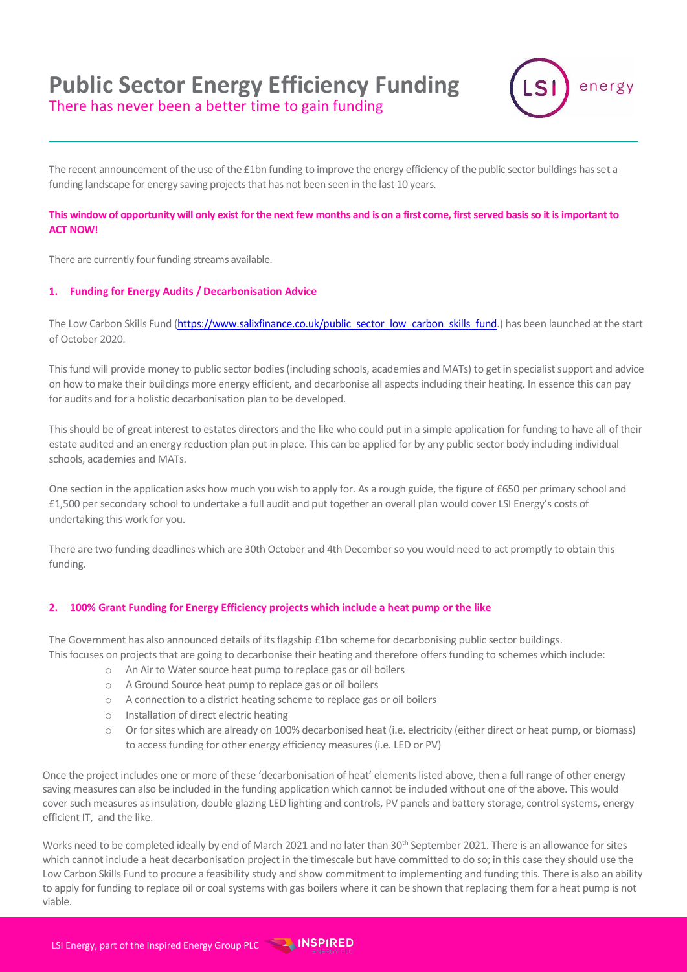# **Public Sector Energy Efficiency Funding**



There has never been a better time to gain funding

The recent announcement of the use of the £1bn funding to improve the energy efficiency of the public sector buildings has set a funding landscape for energy saving projects that has not been seen in the last 10 years.

## **This window of opportunity will only exist for the next few months and is on a first come, first served basis so it is important to ACT NOW!**

There are currently four funding streams available.

### **1. Funding for Energy Audits / Decarbonisation Advice**

The Low Carbon Skills Fund [\(https://www.salixfinance.co.uk/public\\_sector\\_low\\_carbon\\_skills\\_fund.](https://www.salixfinance.co.uk/public_sector_low_carbon_skills_fund)) has been launched at the start of October 2020.

This fund will provide money to public sector bodies (including schools, academies and MATs) to get in specialist support and advice on how to make their buildings more energy efficient, and decarbonise all aspects including their heating. In essence this can pay for audits and for a holistic decarbonisation plan to be developed.

This should be of great interest to estates directors and the like who could put in a simple application for funding to have all of their estate audited and an energy reduction plan put in place. This can be applied for by any public sector body including individual schools, academies and MATs.

One section in the application asks how much you wish to apply for. As a rough guide, the figure of £650 per primary school and £1,500 per secondary school to undertake a full audit and put together an overall plan would cover LSI Energy's costs of undertaking this work for you.

There are two funding deadlines which are 30th October and 4th December so you would need to act promptly to obtain this funding.

### **2. 100% Grant Funding for Energy Efficiency projects which include a heat pump or the like**

The Government has also announced details of its flagship £1bn scheme for decarbonising public sector buildings. This focuses on projects that are going to decarbonise their heating and therefore offers funding to schemes which include:

- o An Air to Water source heat pump to replace gas or oil boilers
- o A Ground Source heat pump to replace gas or oil boilers
- o A connection to a district heating scheme to replace gas or oil boilers
- o Installation of direct electric heating
- o Or for sites which are already on 100% decarbonised heat (i.e. electricity (either direct or heat pump, or biomass) to access funding for other energy efficiency measures (i.e. LED or PV)

Once the project includes one or more of these 'decarbonisation of heat' elements listed above, then a full range of other energy saving measures can also be included in the funding application which cannot be included without one of the above. This would cover such measures as insulation, double glazing LED lighting and controls, PV panels and battery storage, control systems, energy efficient IT, and the like.

Works need to be completed ideally by end of March 2021 and no later than 30<sup>th</sup> September 2021. There is an allowance for sites which cannot include a heat decarbonisation project in the timescale but have committed to do so; in this case they should use the Low Carbon Skills Fund to procure a feasibility study and show commitment to implementing and funding this. There is also an ability to apply for funding to replace oil or coal systems with gas boilers where it can be shown that replacing them for a heat pump is not viable.